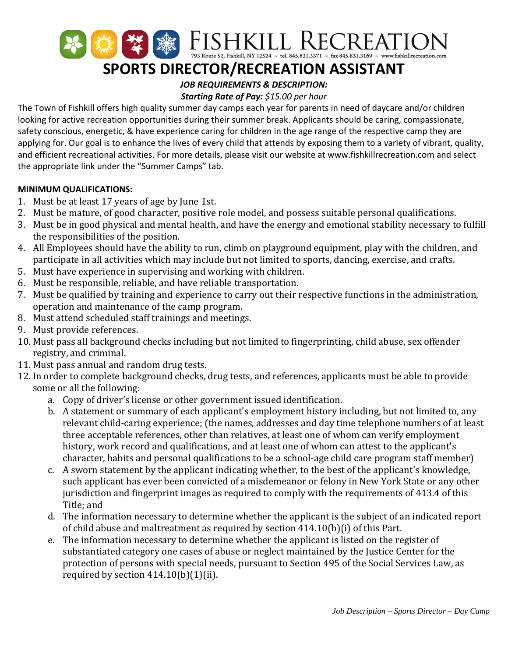

# **SPORTS DIRECTOR/RECREATION ASSISTANT**

# *JOB REQUIREMENTS & DESCRIPTION:*

## *Starting Rate of Pay: \$15.00 per hour*

The Town of Fishkill offers high quality summer day camps each year for parents in need of daycare and/or children looking for active recreation opportunities during their summer break. Applicants should be caring, compassionate, safety conscious, energetic, & have experience caring for children in the age range of the respective camp they are applying for. Our goal is to enhance the lives of every child that attends by exposing them to a variety of vibrant, quality, and efficient recreational activities. For more details, please visit our website at www.fishkillrecreation.com and select the appropriate link under the "Summer Camps" tab.

### **MINIMUM QUALIFICATIONS:**

- 1. Must be at least 17 years of age by June 1st.
- 2. Must be mature, of good character, positive role model, and possess suitable personal qualifications.
- 3. Must be in good physical and mental health, and have the energy and emotional stability necessary to fulfill the responsibilities of the position.
- 4. All Employees should have the ability to run, climb on playground equipment, play with the children, and participate in all activities which may include but not limited to sports, dancing, exercise, and crafts.
- 5. Must have experience in supervising and working with children.
- 6. Must be responsible, reliable, and have reliable transportation.
- 7. Must be qualified by training and experience to carry out their respective functions in the administration, operation and maintenance of the camp program.
- 8. Must attend scheduled staff trainings and meetings.
- 9. Must provide references.
- 10. Must pass all background checks including but not limited to fingerprinting, child abuse, sex offender registry, and criminal.
- 11. Must pass annual and random drug tests.
- 12. In order to complete background checks, drug tests, and references, applicants must be able to provide some or all the following:
	- a. Copy of driver's license or other government issued identification.
	- b. A statement or summary of each applicant's employment history including, but not limited to, any relevant child-caring experience; (the names, addresses and day time telephone numbers of at least three acceptable references, other than relatives, at least one of whom can verify employment history, work record and qualifications, and at least one of whom can attest to the applicant's character, habits and personal qualifications to be a school-age child care program staff member)
	- c. A sworn statement by the applicant indicating whether, to the best of the applicant's knowledge, such applicant has ever been convicted of a misdemeanor or felony in New York State or any other jurisdiction and fingerprint images as required to comply with the requirements of 413.4 of this Title; and
	- d. The information necessary to determine whether the applicant is the subject of an indicated report of child abuse and maltreatment as required by section 414.10(b)(i) of this Part.
	- e. The information necessary to determine whether the applicant is listed on the register of substantiated category one cases of abuse or neglect maintained by the Justice Center for the protection of persons with special needs, pursuant to Section 495 of the Social Services Law, as required by section  $414.10(b)(1)(ii)$ .